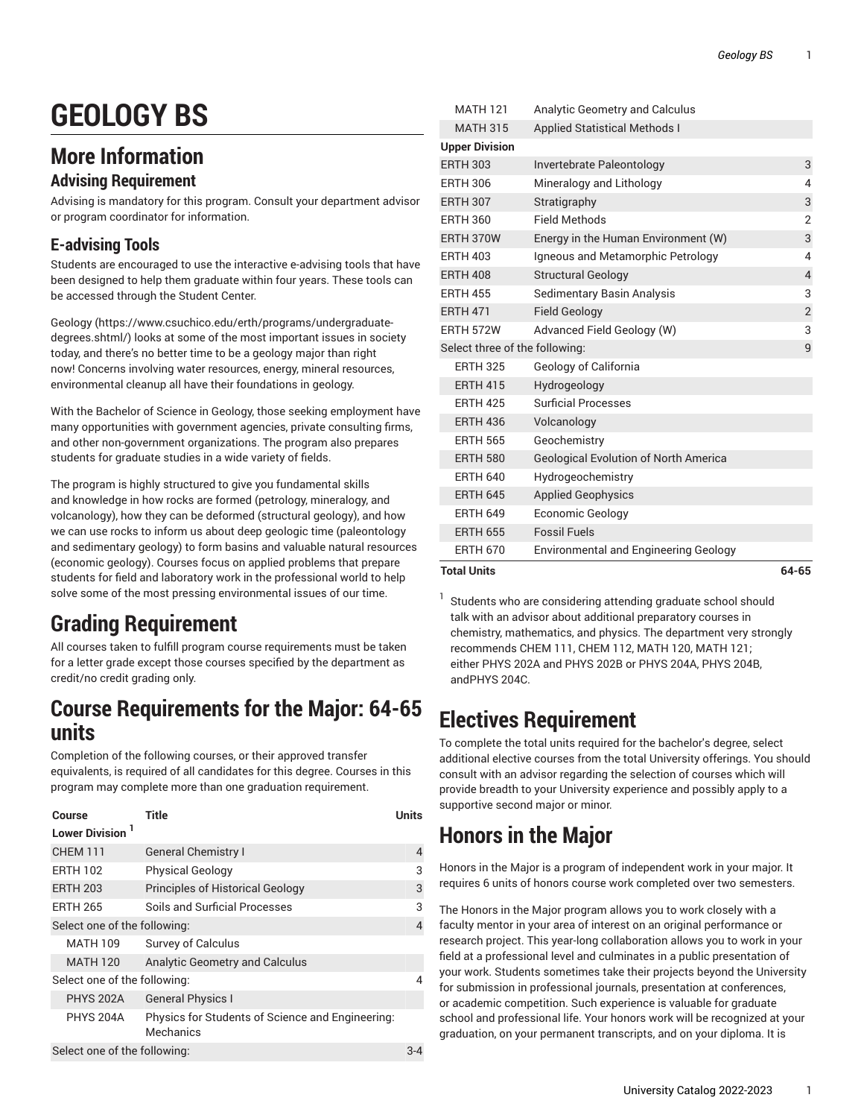# **GEOLOGY BS**

# **More Information**

#### **Advising Requirement**

Advising is mandatory for this program. Consult your department advisor or program coordinator for information.

### **E-advising Tools**

Students are encouraged to use the interactive e-advising tools that have been designed to help them graduate within four years. These tools can be accessed through the Student Center.

[Geology](https://www.csuchico.edu/erth/programs/undergraduate-degrees.shtml/) ([https://www.csuchico.edu/erth/programs/undergraduate](https://www.csuchico.edu/erth/programs/undergraduate-degrees.shtml/)[degrees.shtml/\)](https://www.csuchico.edu/erth/programs/undergraduate-degrees.shtml/) looks at some of the most important issues in society today, and there's no better time to be a geology major than right now! Concerns involving water resources, energy, mineral resources, environmental cleanup all have their foundations in geology.

With the Bachelor of Science in Geology, those seeking employment have many opportunities with government agencies, private consulting firms, and other non-government organizations. The program also prepares students for graduate studies in a wide variety of fields.

The program is highly structured to give you fundamental skills and knowledge in how rocks are formed (petrology, mineralogy, and volcanology), how they can be deformed (structural geology), and how we can use rocks to inform us about deep geologic time (paleontology and sedimentary geology) to form basins and valuable natural resources (economic geology). Courses focus on applied problems that prepare students for field and laboratory work in the professional world to help solve some of the most pressing environmental issues of our time.

# **Grading Requirement**

All courses taken to fulfill program course requirements must be taken for a letter grade except those courses specified by the department as credit/no credit grading only.

### **Course Requirements for the Major: 64-65 units**

Completion of the following courses, or their approved transfer equivalents, is required of all candidates for this degree. Courses in this program may complete more than one graduation requirement.

| Course<br>Lower Division <sup>1</sup> | Title                                                         | Units |
|---------------------------------------|---------------------------------------------------------------|-------|
| <b>CHEM 111</b>                       | <b>General Chemistry I</b>                                    | 4     |
| <b>ERTH 102</b>                       | <b>Physical Geology</b>                                       | 3     |
| <b>ERTH 203</b>                       | <b>Principles of Historical Geology</b>                       | 3     |
| <b>ERTH 265</b>                       | Soils and Surficial Processes                                 | 3     |
| Select one of the following:          |                                                               |       |
| <b>MATH 109</b>                       | <b>Survey of Calculus</b>                                     |       |
| <b>MATH 120</b>                       | <b>Analytic Geometry and Calculus</b>                         |       |
| Select one of the following:          |                                                               |       |
| <b>PHYS 202A</b>                      | <b>General Physics I</b>                                      |       |
| <b>PHYS 204A</b>                      | Physics for Students of Science and Engineering:<br>Mechanics |       |
| Select one of the following:          |                                                               |       |

| <b>Total Units</b>             |                                              | 64-65          |
|--------------------------------|----------------------------------------------|----------------|
| <b>ERTH 670</b>                | <b>Environmental and Engineering Geology</b> |                |
| <b>ERTH 655</b>                | <b>Fossil Fuels</b>                          |                |
| <b>ERTH 649</b>                | Economic Geology                             |                |
| <b>ERTH 645</b>                | <b>Applied Geophysics</b>                    |                |
| <b>ERTH 640</b>                | Hydrogeochemistry                            |                |
| <b>ERTH 580</b>                | <b>Geological Evolution of North America</b> |                |
| <b>ERTH 565</b>                | Geochemistry                                 |                |
| <b>ERTH 436</b>                | Volcanology                                  |                |
| <b>ERTH 425</b>                | <b>Surficial Processes</b>                   |                |
| <b>ERTH 415</b>                | Hydrogeology                                 |                |
| <b>ERTH 325</b>                | Geology of California                        |                |
| Select three of the following: |                                              | 9              |
| <b>ERTH 572W</b>               | Advanced Field Geology (W)                   | 3              |
| <b>ERTH 471</b>                | <b>Field Geology</b>                         | $\overline{2}$ |
| <b>ERTH 455</b>                | Sedimentary Basin Analysis                   | 3              |
| <b>ERTH 408</b>                | <b>Structural Geology</b>                    | $\overline{4}$ |
| <b>ERTH 403</b>                | Igneous and Metamorphic Petrology            | 4              |
| ERTH 370W                      | Energy in the Human Environment (W)          | 3              |
| <b>ERTH 360</b>                | Field Methods                                | $\overline{2}$ |
| <b>ERTH 307</b>                | Stratigraphy                                 | 3              |
| <b>ERTH 306</b>                | Mineralogy and Lithology                     | 4              |
| <b>ERTH 303</b>                | Invertebrate Paleontology                    | 3              |
| <b>Upper Division</b>          |                                              |                |
| <b>MATH 315</b>                | <b>Applied Statistical Methods I</b>         |                |
| <b>MATH 121</b>                | Analytic Geometry and Calculus               |                |

1 Students who are considering attending graduate school should talk with an advisor about additional preparatory courses in chemistry, mathematics, and physics. The department very strongly recommends CHEM 111, CHEM 112, MATH 120, MATH 121; either PHYS 202A and PHYS 202B or PHYS 204A, PHYS 204B, andPHYS 204C.

# **Electives Requirement**

To complete the total units required for the bachelor's degree, select additional elective courses from the total University offerings. You should consult with an advisor regarding the selection of courses which will provide breadth to your University experience and possibly apply to a supportive second major or minor.

# **Honors in the Major**

Honors in the Major is a program of independent work in your major. It requires 6 units of honors course work completed over two semesters.

The Honors in the Major program allows you to work closely with a faculty mentor in your area of interest on an original performance or research project. This year-long collaboration allows you to work in your field at a professional level and culminates in a public presentation of your work. Students sometimes take their projects beyond the University for submission in professional journals, presentation at conferences, or academic competition. Such experience is valuable for graduate school and professional life. Your honors work will be recognized at your graduation, on your permanent transcripts, and on your diploma. It is